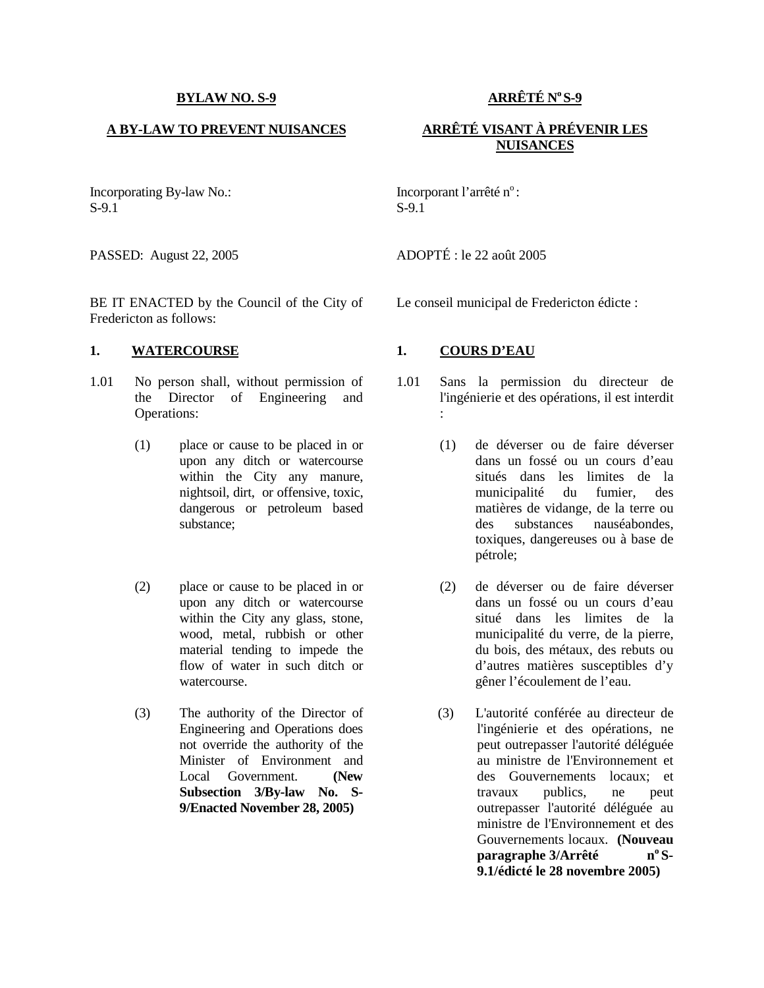## **BYLAW NO. S-9**

## **A BY-LAW TO PREVENT NUISANCES**

Incorporating By-law No.: S-9.1

BE IT ENACTED by the Council of the City of Fredericton as follows:

### **1. WATERCOURSE 1. COURS D'EAU**

- 1.01 No person shall, without permission of the Director of Engineering and Operations:
	- (1) place or cause to be placed in or upon any ditch or watercourse within the City any manure, nightsoil, dirt, or offensive, toxic, dangerous or petroleum based substance;
	- (2) place or cause to be placed in or upon any ditch or watercourse within the City any glass, stone, wood, metal, rubbish or other material tending to impede the flow of water in such ditch or watercourse.
	- (3) The authority of the Director of Engineering and Operations does not override the authority of the Minister of Environment and Local Government. **(New Subsection 3/By-law No. S- 9/Enacted November 28, 2005)**

**ARRÊTÉ N<sup>o</sup>S-9**

# **ARRÊTÉ VISANT À PRÉVENIR LES NUISANCES**

Incorporant l'arrêté n°: S-9.1

PASSED: August 22, 2005 ADOPTÉ : le 22 août 2005

Le conseil municipal de Fredericton édicte :

- Sans la permission du directeur de l'ingénierie et des opérations, il est interdit :
	- (1) de déverser ou de faire déverser dans un fossé ou un cours d'eau situés dans les limites de la municipalité du fumier, des matières de vidange, de la terre ou des substances nauséabondes, toxiques, dangereuses ou à base de pétrole;
	- (2) de déverser ou de faire déverser dans un fossé ou un cours d'eau situé dans les limites de la municipalité du verre, de la pierre, du bois, des métaux, des rebuts ou d'autres matières susceptibles d'y gêner l'écoulement de l'eau.
	- (3) L'autorité conférée au directeur de l'ingénierie et des opérations, ne peut outrepasser l'autorité déléguée au ministre de l'Environnement et des Gouvernements locaux; et travaux publics, ne peut outrepasser l'autorité déléguée au ministre de l'Environnement et des Gouvernements locaux. **(Nouveau paragraphe 3/Arrêté n<sup>o</sup> S- 9.1/édicté le 28 novembre 2005)**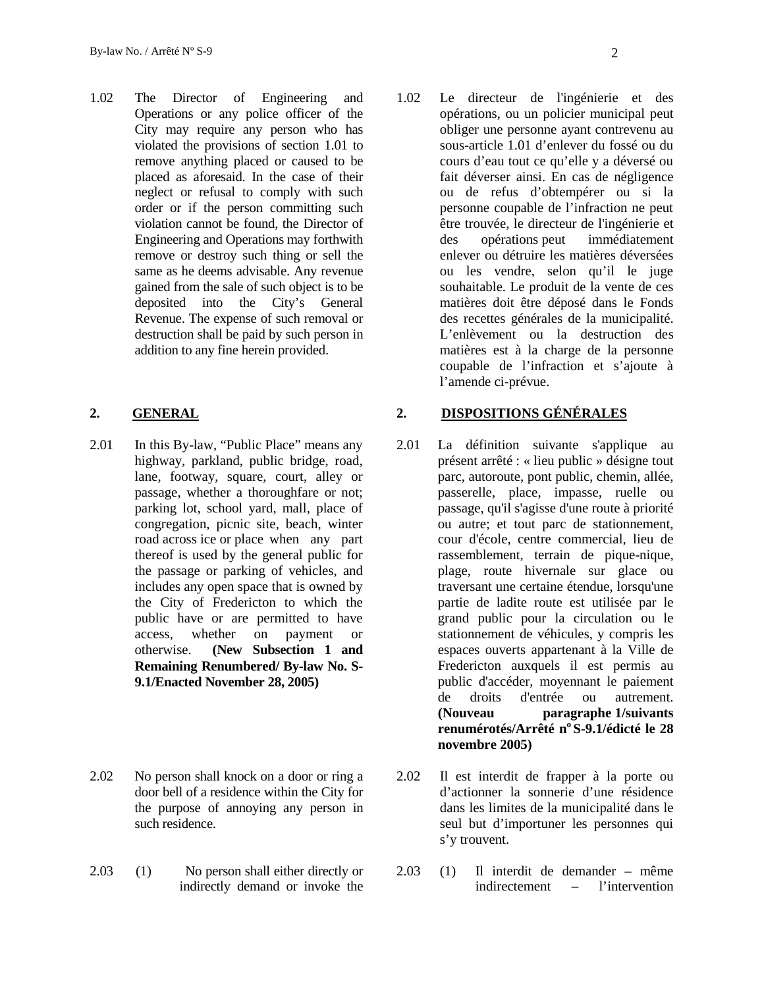1.02 The Director of Engineering and Operations or any police officer of the City may require any person who has violated the provisions of section 1.01 to remove anything placed or caused to be placed as aforesaid. In the case of their neglect or refusal to comply with such order or if the person committing such violation cannot be found, the Director of Engineering and Operations may forthwith remove or destroy such thing or sell the same as he deems advisable. Any revenue gained from the sale of such object is to be deposited into the City's General Revenue. The expense of such removal or destruction shall be paid by such person in addition to any fine herein provided.

- 2.01 In this By-law, "Public Place" means any 2.01 highway, parkland, public bridge, road, lane, footway, square, court, alley or passage, whether a thoroughfare or not; parking lot, school yard, mall, place of congregation, picnic site, beach, winter road across ice or place when any part thereof is used by the general public for the passage or parking of vehicles, and includes any open space that is owned by the City of Fredericton to which the public have or are permitted to have access, whether on payment or otherwise. **(New Subsection 1 and Remaining Renumbered/ By-law No. S- 9.1/Enacted November 28, 2005)**
- 2.02 No person shall knock on a door or ring a 2.02 door bell of a residence within the City for the purpose of annoying any person in such residence.
- 2.03 (1) No person shall either directly or 2.03 indirectly demand or invoke the

Le directeur de l'ingénierie et des opérations, ou un policier municipal peut obliger une personne ayant contrevenu au sous-article 1.01 d'enlever du fossé ou du cours d'eau tout ce qu'elle y a déversé ou fait déverser ainsi. En cas de négligence ou de refus d'obtempérer ou si la personne coupable de l'infraction ne peut être trouvée, le directeur de l'ingénierie et des opérations peut immédiatement enlever ou détruire les matières déversées ou les vendre, selon qu'il le juge souhaitable. Le produit de la vente de ces matières doit être déposé dans le Fonds des recettes générales de la municipalité. L'enlèvement ou la destruction des matières est à la charge de la personne coupable de l'infraction et s'ajoute à l'amende ci-prévue.

## **2. GENERAL 2. DISPOSITIONS GÉNÉRALES**

- La définition suivante s'applique au présent arrêté : « lieu public » désigne tout parc, autoroute, pont public, chemin, allée, passerelle, place, impasse, ruelle ou passage, qu'il s'agisse d'une route à priorité ou autre; et tout parc de stationnement, cour d'école, centre commercial, lieu de rassemblement, terrain de pique-nique, plage, route hivernale sur glace ou traversant une certaine étendue, lorsqu'une partie de ladite route est utilisée par le grand public pour la circulation ou le stationnement de véhicules, y compris les espaces ouverts appartenant à la Ville de Fredericton auxquels il est permis au public d'accéder, moyennant le paiement de droits d'entrée ou autrement. **(Nouveau paragraphe 1/suivants renumérotés/Arrêté n<sup>o</sup> S-9.1/édicté le 28 novembre 2005)**
- 2.02 Il est interdit de frapper à la porte ou d'actionner la sonnerie d'une résidence dans les limites de la municipalité dans le seul but d'importuner les personnes qui s'y trouvent.
- 2.03 (1) Il interdit de demander même indirectement – l'intervention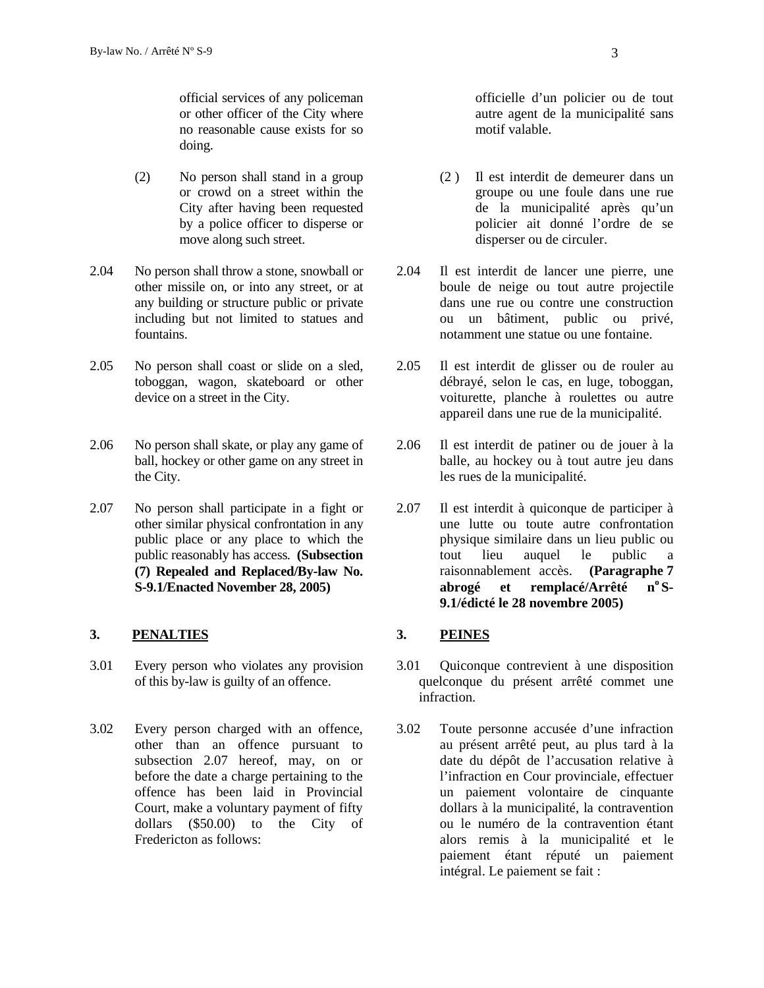official services of any policeman or other officer of the City where no reasonable cause exists for so doing.

- (2) No person shall stand in a group or crowd on a street within the City after having been requested by a police officer to disperse or move along such street.
- 2.04 No person shall throw a stone, snowball or 2.04 other missile on, or into any street, or at any building or structure public or private including but not limited to statues and fountains.
- 2.05 No person shall coast or slide on a sled, toboggan, wagon, skateboard or other device on a street in the City.
- 2.06 No person shall skate, or play any game of 2.06 ball, hockey or other game on any street in the City.
- 2.07 No person shall participate in a fight or other similar physical confrontation in any public place or any place to which the public reasonably has access. **(Subsection (7) Repealed and Replaced/By-law No. S-9.1/Enacted November 28, 2005)**

## **3. PENALTIES 3. PEINES**

- 3.01 Every person who violates any provision of this by-law is guilty of an offence.
- 3.02 Every person charged with an offence, other than an offence pursuant to subsection 2.07 hereof, may, on or before the date a charge pertaining to the offence has been laid in Provincial Court, make a voluntary payment of fifty dollars (\$50.00) to the City of Fredericton as follows:

officielle d'un policier ou de tout autre agent de la municipalité sans motif valable.

- (2 ) Il est interdit de demeurer dans un groupe ou une foule dans une rue de la municipalité après qu'un policier ait donné l'ordre de se disperser ou de circuler.
- Il est interdit de lancer une pierre, une boule de neige ou tout autre projectile dans une rue ou contre une construction ou un bâtiment, public ou privé, notamment une statue ou une fontaine.
- 2.05 Il est interdit de glisser ou de rouler au débrayé, selon le cas, en luge, toboggan, voiturette, planche à roulettes ou autre appareil dans une rue de la municipalité.
- Il est interdit de patiner ou de jouer à la balle, au hockey ou à tout autre jeu dans les rues de la municipalité.
- Il est interdit à quiconque de participer à une lutte ou toute autre confrontation physique similaire dans un lieu public ou tout lieu auquel le public a raisonnablement accès. **(Paragraphe 7 abrogé et remplacé/Arrêté n<sup>o</sup> S- 9.1/édicté le 28 novembre 2005)**

- Quiconque contrevient à une disposition quelconque du présent arrêté commet une infraction.
- 3.02 Toute personne accusée d'une infraction au présent arrêté peut, au plus tard à la date du dépôt de l'accusation relative à l'infraction en Cour provinciale, effectuer un paiement volontaire de cinquante dollars à la municipalité, la contravention ou le numéro de la contravention étant alors remis à la municipalité et le paiement étant réputé un paiement intégral. Le paiement se fait :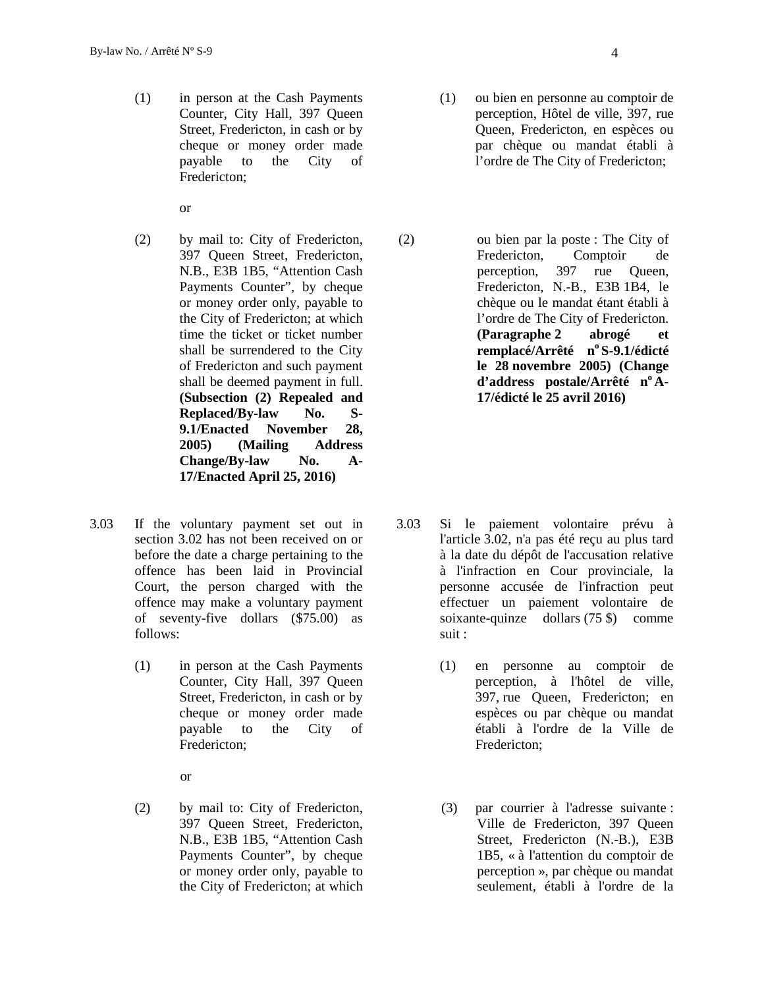(1) in person at the Cash Payments Counter, City Hall, 397 Queen Street, Fredericton, in cash or by cheque or money order made payable to the City of Fredericton;

or

- (2) by mail to: City of Fredericton, 397 Queen Street, Fredericton, N.B., E3B 1B5, "Attention Cash Payments Counter", by cheque or money order only, payable to the City of Fredericton; at which time the ticket or ticket number shall be surrendered to the City of Fredericton and such payment shall be deemed payment in full. **(Subsection (2) Repealed and Replaced/By-law No. S- 9.1/Enacted November 28, 2005) (Mailing Address Change/By-law No. A- 17/Enacted April 25, 2016)**
- 3.03 If the voluntary payment set out in section 3.02 has not been received on or before the date a charge pertaining to the offence has been laid in Provincial Court, the person charged with the offence may make a voluntary payment of seventy-five dollars (\$75.00) as follows:
	- (1) in person at the Cash Payments Counter, City Hall, 397 Queen Street, Fredericton, in cash or by cheque or money order made payable to the City of Fredericton;

or

(2) by mail to: City of Fredericton, 397 Queen Street, Fredericton, N.B., E3B 1B5, "Attention Cash Payments Counter", by cheque or money order only, payable to the City of Fredericton; at which

- (1) ou bien en personne au comptoir de perception, Hôtel de ville, 397, rue Queen, Fredericton, en espèces ou par chèque ou mandat établi à l'ordre de The City of Fredericton;
- (2) ou bien par la poste : The City of Fredericton, Comptoir de perception, 397 rue Queen, Fredericton, N.-B., E3B 1B4, le chèque ou le mandat étant établi à l'ordre de The City of Fredericton. **(Paragraphe 2 abrogé et remplacé/Arrêté n<sup>o</sup> S-9.1/édicté le 28 novembre 2005) (Change d'address postale/Arrêté n<sup>o</sup> A- 17/édicté le 25 avril 2016)**

- Si le paiement volontaire prévu à l'article 3.02, n'a pas été reçu au plus tard à la date du dépôt de l'accusation relative à l'infraction en Cour provinciale, la personne accusée de l'infraction peut effectuer un paiement volontaire de soixante-quinze dollars (75 \$) comme suit :
	- (1) en personne au comptoir de perception, à l'hôtel de ville, 397, rue Queen, Fredericton; en espèces ou par chèque ou mandat établi à l'ordre de la Ville de Fredericton;
	- (3) par courrier à l'adresse suivante : Ville de Fredericton, 397 Queen Street, Fredericton (N.-B.), E3B 1B5, « à l'attention du comptoir de perception », par chèque ou mandat seulement, établi à l'ordre de la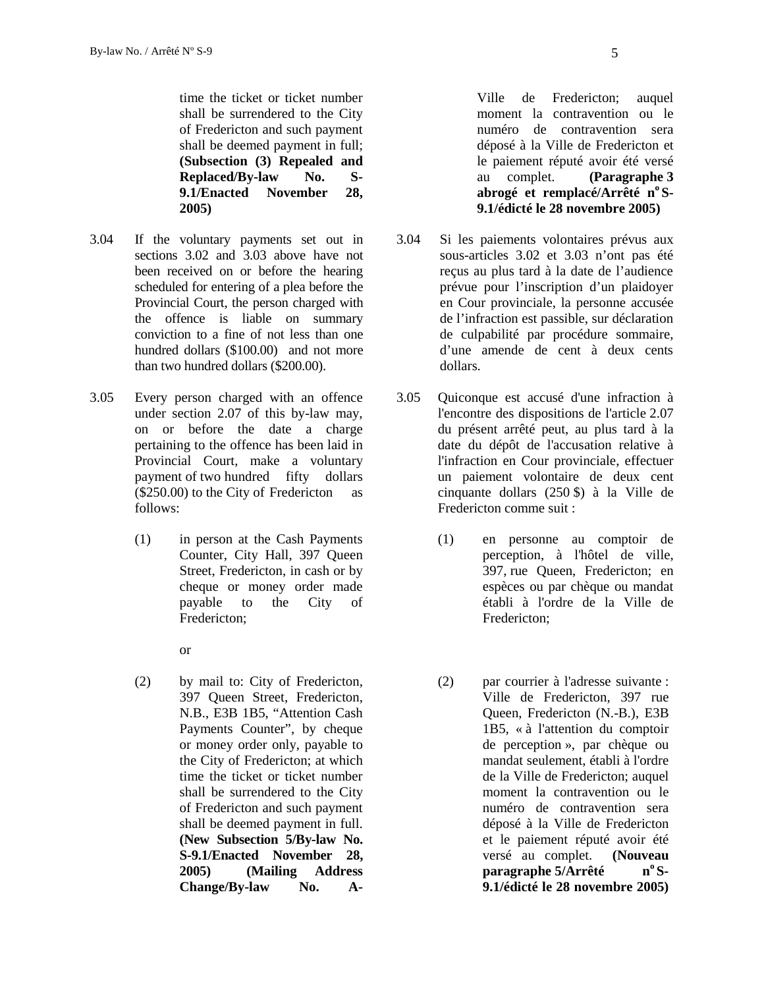time the ticket or ticket number shall be surrendered to the City of Fredericton and such payment shall be deemed payment in full; **(Subsection (3) Repealed and Replaced/By-law No. S- 9.1/Enacted November 28, 2005)**

- 3.04 If the voluntary payments set out in sections 3.02 and 3.03 above have not been received on or before the hearing scheduled for entering of a plea before the Provincial Court, the person charged with the offence is liable on summary conviction to a fine of not less than one hundred dollars (\$100.00) and not more than two hundred dollars (\$200.00).
- 3.05 Every person charged with an offence under section 2.07 of this by-law may, on or before the date a charge pertaining to the offence has been laid in Provincial Court, make a voluntary payment of two hundred fifty dollars (\$250.00) to the City of Fredericton as follows:
	- (1) in person at the Cash Payments Counter, City Hall, 397 Queen Street, Fredericton, in cash or by cheque or money order made payable to the City of Fredericton;
		- or
	- (2) by mail to: City of Fredericton, 397 Queen Street, Fredericton, N.B., E3B 1B5, "Attention Cash Payments Counter", by cheque or money order only, payable to the City of Fredericton; at which time the ticket or ticket number shall be surrendered to the City of Fredericton and such payment shall be deemed payment in full. **(New Subsection 5/By-law No. S-9.1/Enacted November 28, 2005) (Mailing Address Change/By-law No. A-**

Ville de Fredericton; auquel moment la contravention ou le numéro de contravention sera déposé à la Ville de Fredericton et le paiement réputé avoir été versé au complet. **(Paragraphe 3 abrogé et remplacé/Arrêté n<sup>o</sup> S- 9.1/édicté le 28 novembre 2005)**

- Si les paiements volontaires prévus aux sous-articles 3.02 et 3.03 n'ont pas été reçus au plus tard à la date de l'audience prévue pour l'inscription d'un plaidoyer en Cour provinciale, la personne accusée de l'infraction est passible, sur déclaration de culpabilité par procédure sommaire, d'une amende de cent à deux cents dollars.
- 3.05 Quiconque est accusé d'une infraction à l'encontre des dispositions de l'article 2.07 du présent arrêté peut, au plus tard à la date du dépôt de l'accusation relative à l'infraction en Cour provinciale, effectuer un paiement volontaire de deux cent cinquante dollars (250 \$) à la Ville de Fredericton comme suit :
	- (1) en personne au comptoir de perception, à l'hôtel de ville, 397, rue Queen, Fredericton; en espèces ou par chèque ou mandat établi à l'ordre de la Ville de Fredericton;
	- (2) par courrier à l'adresse suivante : Ville de Fredericton, 397 rue Queen, Fredericton (N.-B.), E3B 1B5, « à l'attention du comptoir de perception », par chèque ou mandat seulement, établi à l'ordre de la Ville de Fredericton; auquel moment la contravention ou le numéro de contravention sera déposé à la Ville de Fredericton et le paiement réputé avoir été versé au complet. **(Nouveau paragraphe 5/Arrêté n<sup>o</sup> S- 9.1/édicté le 28 novembre 2005)**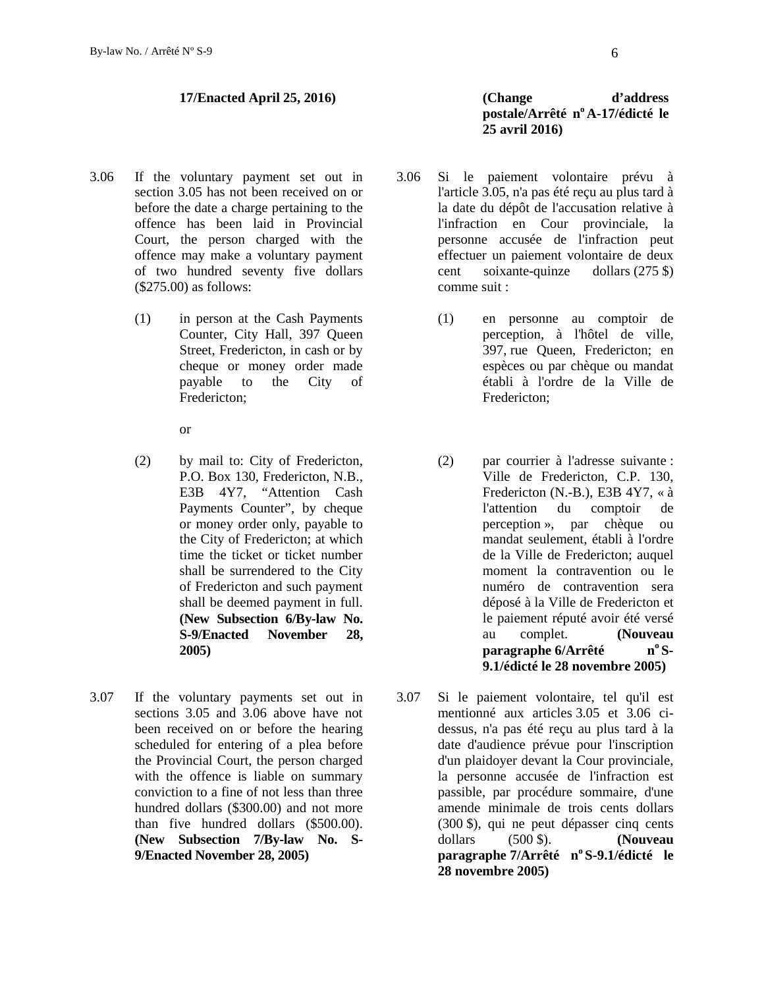- 3.06 If the voluntary payment set out in section 3.05 has not been received on or before the date a charge pertaining to the offence has been laid in Provincial Court, the person charged with the offence may make a voluntary payment of two hundred seventy five dollars (\$275.00) as follows:
	- (1) in person at the Cash Payments Counter, City Hall, 397 Queen Street, Fredericton, in cash or by cheque or money order made payable to the City of Fredericton;

or

- (2) by mail to: City of Fredericton, P.O. Box 130, Fredericton, N.B., E3B 4Y7, "Attention Cash Payments Counter", by cheque or money order only, payable to the City of Fredericton; at which time the ticket or ticket number shall be surrendered to the City of Fredericton and such payment shall be deemed payment in full. **(New Subsection 6/By-law No. S-9/Enacted November 28, 2005)**
- 3.07 If the voluntary payments set out in sections 3.05 and 3.06 above have not been received on or before the hearing scheduled for entering of a plea before the Provincial Court, the person charged with the offence is liable on summary conviction to a fine of not less than three hundred dollars (\$300.00) and not more than five hundred dollars (\$500.00). **(New Subsection 7/By-law No. S- 9/Enacted November 28, 2005)**

## **17/Enacted April 25, 2016) (Change d'address postale/Arrêté n<sup>o</sup> A-17/édicté le 25 avril 2016)**

- Si le paiement volontaire prévu à l'article 3.05, n'a pas été reçu au plus tard à la date du dépôt de l'accusation relative à l'infraction en Cour provinciale, la personne accusée de l'infraction peut effectuer un paiement volontaire de deux cent soixante-quinze dollars (275 \$) comme suit :
	- (1) en personne au comptoir de perception, à l'hôtel de ville, 397, rue Queen, Fredericton; en espèces ou par chèque ou mandat établi à l'ordre de la Ville de Fredericton;
	- (2) par courrier à l'adresse suivante : Ville de Fredericton, C.P. 130, Fredericton (N.-B.), E3B 4Y7, « à l'attention du comptoir de perception », par chèque ou mandat seulement, établi à l'ordre de la Ville de Fredericton; auquel moment la contravention ou le numéro de contravention sera déposé à la Ville de Fredericton et le paiement réputé avoir été versé au complet. **(Nouveau paragraphe 6/Arrêté n<sup>o</sup> S- 9.1/édicté le 28 novembre 2005)**
- Si le paiement volontaire, tel qu'il est mentionné aux articles 3.05 et 3.06 ci dessus, n'a pas été reçu au plus tard à la date d'audience prévue pour l'inscription d'un plaidoyer devant la Cour provinciale, la personne accusée de l'infraction est passible, par procédure sommaire, d'une amende minimale de trois cents dollars (300 \$), qui ne peut dépasser cinq cents dollars (500 \$). **(Nouveau paragraphe 7/Arrêté n<sup>o</sup> S-9.1/édicté le 28 novembre 2005)**